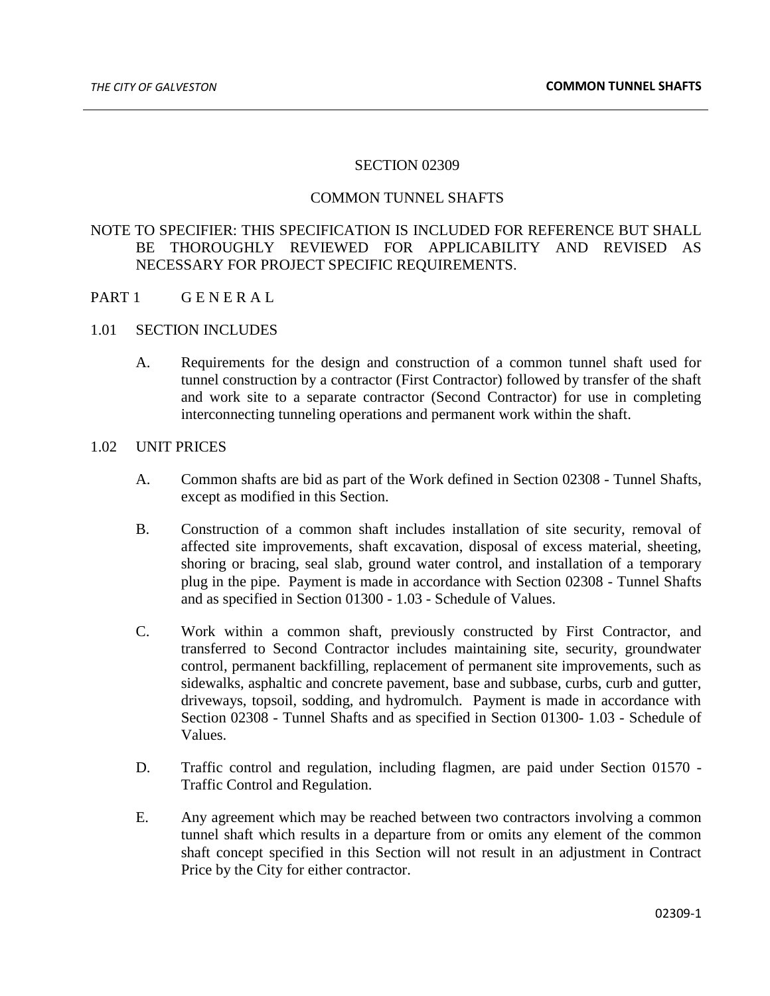#### SECTION 02309

### COMMON TUNNEL SHAFTS

# NOTE TO SPECIFIER: THIS SPECIFICATION IS INCLUDED FOR REFERENCE BUT SHALL BE THOROUGHLY REVIEWED FOR APPLICABILITY AND REVISED AS NECESSARY FOR PROJECT SPECIFIC REQUIREMENTS.

- PART 1 GENERAL
- 1.01 SECTION INCLUDES
	- A. Requirements for the design and construction of a common tunnel shaft used for tunnel construction by a contractor (First Contractor) followed by transfer of the shaft and work site to a separate contractor (Second Contractor) for use in completing interconnecting tunneling operations and permanent work within the shaft.

### 1.02 UNIT PRICES

- A. Common shafts are bid as part of the Work defined in Section 02308 Tunnel Shafts, except as modified in this Section.
- B. Construction of a common shaft includes installation of site security, removal of affected site improvements, shaft excavation, disposal of excess material, sheeting, shoring or bracing, seal slab, ground water control, and installation of a temporary plug in the pipe. Payment is made in accordance with Section 02308 - Tunnel Shafts and as specified in Section 01300 - 1.03 - Schedule of Values.
- C. Work within a common shaft, previously constructed by First Contractor, and transferred to Second Contractor includes maintaining site, security, groundwater control, permanent backfilling, replacement of permanent site improvements, such as sidewalks, asphaltic and concrete pavement, base and subbase, curbs, curb and gutter, driveways, topsoil, sodding, and hydromulch. Payment is made in accordance with Section 02308 - Tunnel Shafts and as specified in Section 01300- 1.03 - Schedule of Values.
- D. Traffic control and regulation, including flagmen, are paid under Section 01570 Traffic Control and Regulation.
- E. Any agreement which may be reached between two contractors involving a common tunnel shaft which results in a departure from or omits any element of the common shaft concept specified in this Section will not result in an adjustment in Contract Price by the City for either contractor.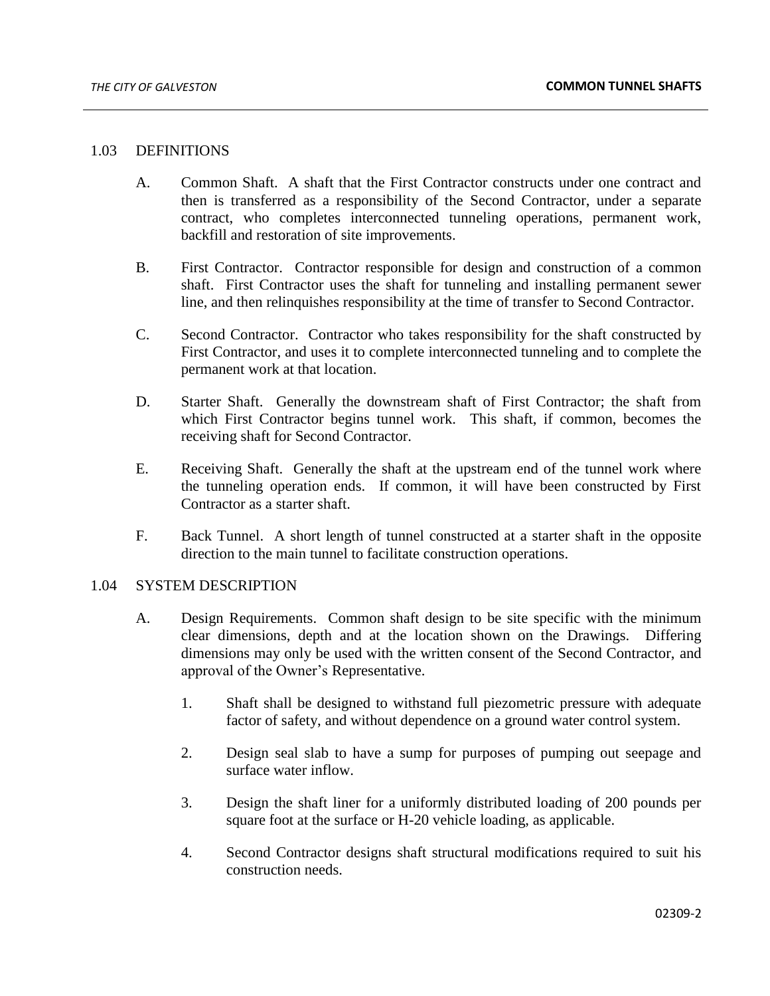## 1.03 DEFINITIONS

- A. Common Shaft. A shaft that the First Contractor constructs under one contract and then is transferred as a responsibility of the Second Contractor, under a separate contract, who completes interconnected tunneling operations, permanent work, backfill and restoration of site improvements.
- B. First Contractor. Contractor responsible for design and construction of a common shaft. First Contractor uses the shaft for tunneling and installing permanent sewer line, and then relinquishes responsibility at the time of transfer to Second Contractor.
- C. Second Contractor. Contractor who takes responsibility for the shaft constructed by First Contractor, and uses it to complete interconnected tunneling and to complete the permanent work at that location.
- D. Starter Shaft. Generally the downstream shaft of First Contractor; the shaft from which First Contractor begins tunnel work. This shaft, if common, becomes the receiving shaft for Second Contractor.
- E. Receiving Shaft. Generally the shaft at the upstream end of the tunnel work where the tunneling operation ends. If common, it will have been constructed by First Contractor as a starter shaft.
- F. Back Tunnel. A short length of tunnel constructed at a starter shaft in the opposite direction to the main tunnel to facilitate construction operations.

#### 1.04 SYSTEM DESCRIPTION

- A. Design Requirements. Common shaft design to be site specific with the minimum clear dimensions, depth and at the location shown on the Drawings. Differing dimensions may only be used with the written consent of the Second Contractor, and approval of the Owner's Representative.
	- 1. Shaft shall be designed to withstand full piezometric pressure with adequate factor of safety, and without dependence on a ground water control system.
	- 2. Design seal slab to have a sump for purposes of pumping out seepage and surface water inflow.
	- 3. Design the shaft liner for a uniformly distributed loading of 200 pounds per square foot at the surface or H-20 vehicle loading, as applicable.
	- 4. Second Contractor designs shaft structural modifications required to suit his construction needs.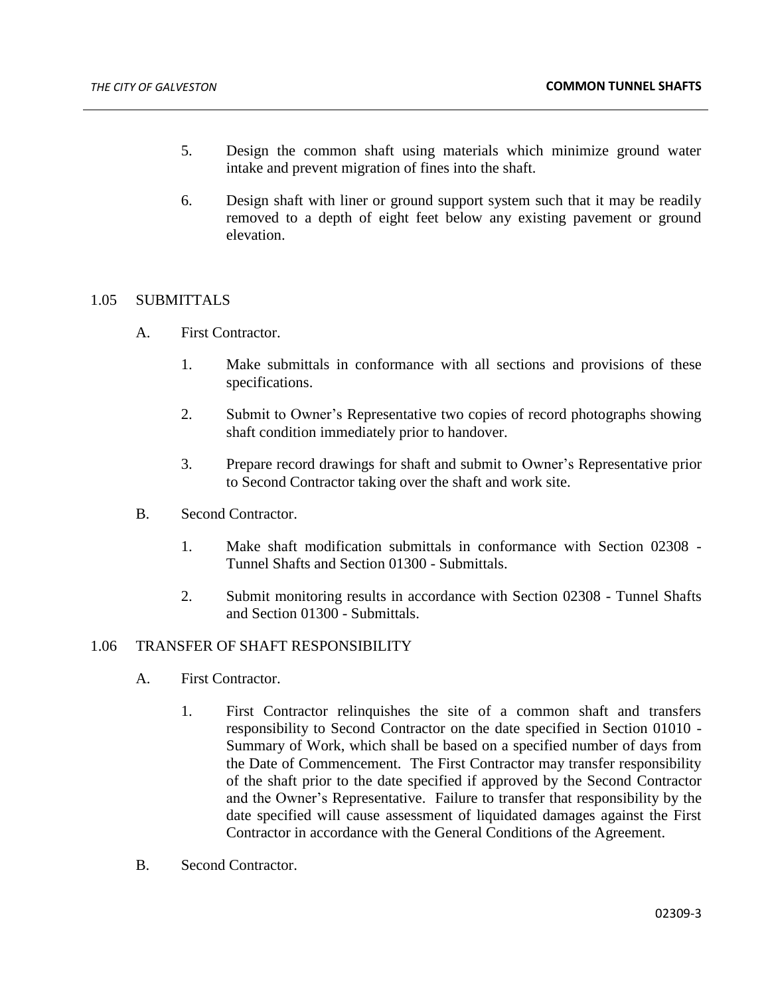- 5. Design the common shaft using materials which minimize ground water intake and prevent migration of fines into the shaft.
- 6. Design shaft with liner or ground support system such that it may be readily removed to a depth of eight feet below any existing pavement or ground elevation.

## 1.05 SUBMITTALS

- A. First Contractor.
	- 1. Make submittals in conformance with all sections and provisions of these specifications.
	- 2. Submit to Owner's Representative two copies of record photographs showing shaft condition immediately prior to handover.
	- 3. Prepare record drawings for shaft and submit to Owner's Representative prior to Second Contractor taking over the shaft and work site.
- B. Second Contractor.
	- 1. Make shaft modification submittals in conformance with Section 02308 Tunnel Shafts and Section 01300 - Submittals.
	- 2. Submit monitoring results in accordance with Section 02308 Tunnel Shafts and Section 01300 - Submittals.

# 1.06 TRANSFER OF SHAFT RESPONSIBILITY

- A. First Contractor.
	- 1. First Contractor relinquishes the site of a common shaft and transfers responsibility to Second Contractor on the date specified in Section 01010 - Summary of Work, which shall be based on a specified number of days from the Date of Commencement. The First Contractor may transfer responsibility of the shaft prior to the date specified if approved by the Second Contractor and the Owner's Representative. Failure to transfer that responsibility by the date specified will cause assessment of liquidated damages against the First Contractor in accordance with the General Conditions of the Agreement.
- B. Second Contractor.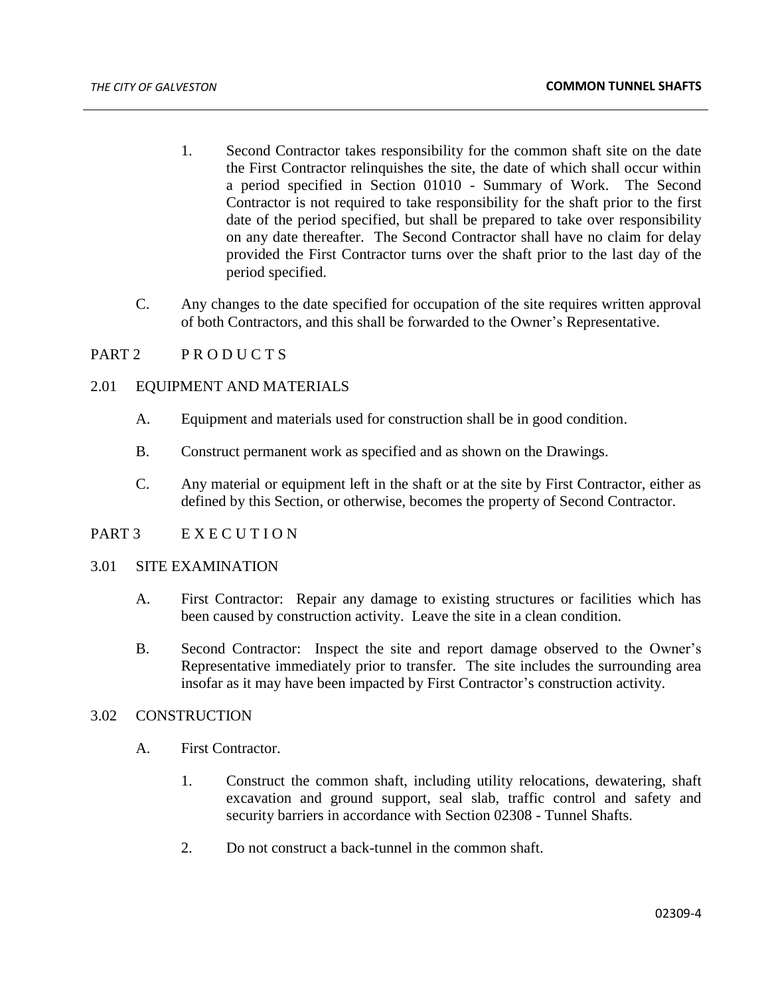- 1. Second Contractor takes responsibility for the common shaft site on the date the First Contractor relinquishes the site, the date of which shall occur within a period specified in Section 01010 - Summary of Work. The Second Contractor is not required to take responsibility for the shaft prior to the first date of the period specified, but shall be prepared to take over responsibility on any date thereafter. The Second Contractor shall have no claim for delay provided the First Contractor turns over the shaft prior to the last day of the period specified.
- C. Any changes to the date specified for occupation of the site requires written approval of both Contractors, and this shall be forwarded to the Owner's Representative.

### PART 2 PRODUCTS

### 2.01 EQUIPMENT AND MATERIALS

- A. Equipment and materials used for construction shall be in good condition.
- B. Construct permanent work as specified and as shown on the Drawings.
- C. Any material or equipment left in the shaft or at the site by First Contractor, either as defined by this Section, or otherwise, becomes the property of Second Contractor.

### PART 3 E X E C U T I O N

### 3.01 SITE EXAMINATION

- A. First Contractor: Repair any damage to existing structures or facilities which has been caused by construction activity. Leave the site in a clean condition.
- B. Second Contractor: Inspect the site and report damage observed to the Owner's Representative immediately prior to transfer. The site includes the surrounding area insofar as it may have been impacted by First Contractor's construction activity.

## 3.02 CONSTRUCTION

- A. First Contractor.
	- 1. Construct the common shaft, including utility relocations, dewatering, shaft excavation and ground support, seal slab, traffic control and safety and security barriers in accordance with Section 02308 - Tunnel Shafts.
	- 2. Do not construct a back-tunnel in the common shaft.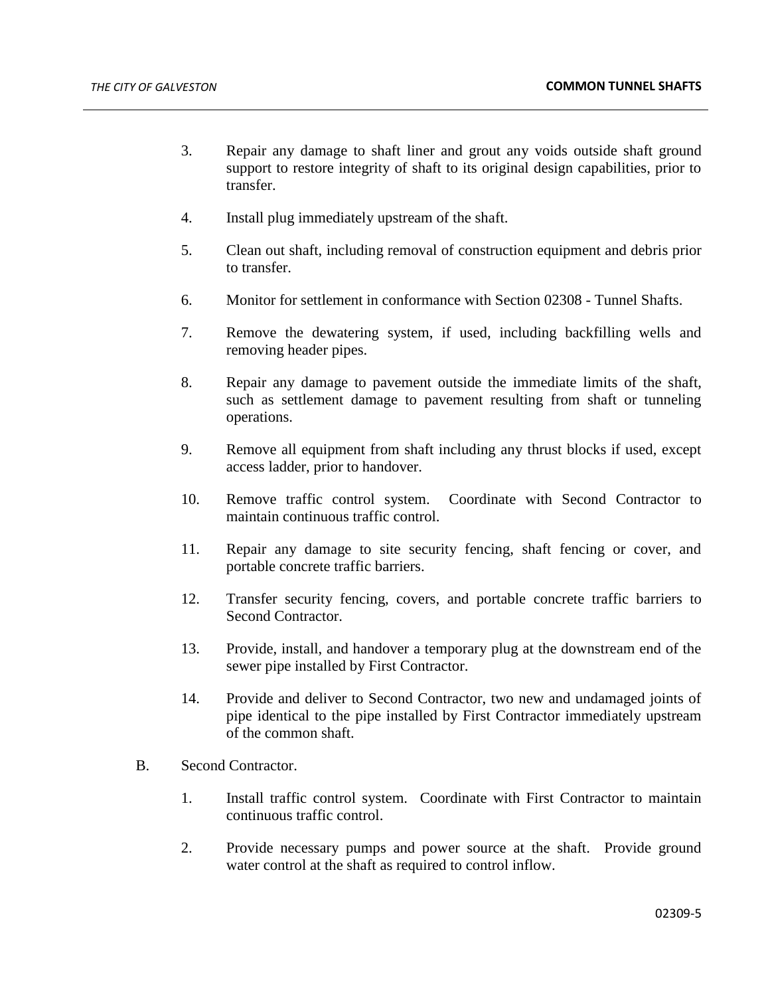- 3. Repair any damage to shaft liner and grout any voids outside shaft ground support to restore integrity of shaft to its original design capabilities, prior to transfer.
- 4. Install plug immediately upstream of the shaft.
- 5. Clean out shaft, including removal of construction equipment and debris prior to transfer.
- 6. Monitor for settlement in conformance with Section 02308 Tunnel Shafts.
- 7. Remove the dewatering system, if used, including backfilling wells and removing header pipes.
- 8. Repair any damage to pavement outside the immediate limits of the shaft, such as settlement damage to pavement resulting from shaft or tunneling operations.
- 9. Remove all equipment from shaft including any thrust blocks if used, except access ladder, prior to handover.
- 10. Remove traffic control system. Coordinate with Second Contractor to maintain continuous traffic control.
- 11. Repair any damage to site security fencing, shaft fencing or cover, and portable concrete traffic barriers.
- 12. Transfer security fencing, covers, and portable concrete traffic barriers to Second Contractor.
- 13. Provide, install, and handover a temporary plug at the downstream end of the sewer pipe installed by First Contractor.
- 14. Provide and deliver to Second Contractor, two new and undamaged joints of pipe identical to the pipe installed by First Contractor immediately upstream of the common shaft.
- B. Second Contractor.
	- 1. Install traffic control system. Coordinate with First Contractor to maintain continuous traffic control.
	- 2. Provide necessary pumps and power source at the shaft. Provide ground water control at the shaft as required to control inflow.